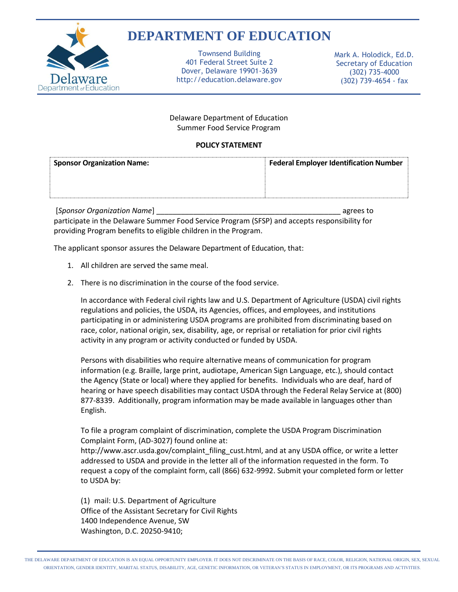

## **DEPARTMENT OF EDUCATION**

Townsend Building 401 Federal Street Suite 2 Dover, Delaware 19901-3639 http://education.delaware.gov Mark A. Holodick, Ed.D. Secretary of Education (302) 735-4000 (302) 739-4654 - fax

## Delaware Department of Education Summer Food Service Program

## **POLICY STATEMENT**

| <b>Sponsor Organization Name:</b> | <b>Federal Employer Identification Number</b> |
|-----------------------------------|-----------------------------------------------|
|                                   |                                               |
|                                   |                                               |

[*Sponsor Organization Name*] \_\_\_\_\_\_\_\_\_\_\_\_\_\_\_\_\_\_\_\_\_\_\_\_\_\_\_\_\_\_\_\_\_\_\_\_\_\_\_\_\_\_\_\_\_ agrees to participate in the Delaware Summer Food Service Program (SFSP) and accepts responsibility for providing Program benefits to eligible children in the Program.

The applicant sponsor assures the Delaware Department of Education, that:

- 1. All children are served the same meal.
- 2. There is no discrimination in the course of the food service.

In accordance with Federal civil rights law and U.S. Department of Agriculture (USDA) civil rights regulations and policies, the USDA, its Agencies, offices, and employees, and institutions participating in or administering USDA programs are prohibited from discriminating based on race, color, national origin, sex, disability, age, or reprisal or retaliation for prior civil rights activity in any program or activity conducted or funded by USDA.

Persons with disabilities who require alternative means of communication for program information (e.g. Braille, large print, audiotape, American Sign Language, etc.), should contact the Agency (State or local) where they applied for benefits. Individuals who are deaf, hard of hearing or have speech disabilities may contact USDA through the Federal Relay Service at (800) 877-8339. Additionally, program information may be made available in languages other than English.

To file a program complaint of discrimination, complete the USDA Program Discrimination Complaint Form, (AD-3027) found online at:

http://www.ascr.usda.gov/complaint\_filing\_cust.html, and at any USDA office, or write a letter addressed to USDA and provide in the letter all of the information requested in the form. To request a copy of the complaint form, call (866) 632-9992. Submit your completed form or letter to USDA by:

(1) mail: U.S. Department of Agriculture Office of the Assistant Secretary for Civil Rights 1400 Independence Avenue, SW Washington, D.C. 20250-9410;